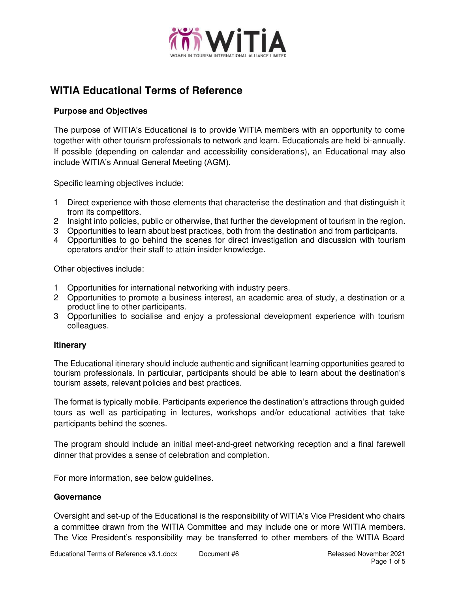

# **WITIA Educational Terms of Reference**

#### **Purpose and Objectives**

The purpose of WITIA's Educational is to provide WITIA members with an opportunity to come together with other tourism professionals to network and learn. Educationals are held bi-annually. If possible (depending on calendar and accessibility considerations), an Educational may also include WITIA's Annual General Meeting (AGM).

Specific learning objectives include:

- 1 Direct experience with those elements that characterise the destination and that distinguish it from its competitors.
- 2 Insight into policies, public or otherwise, that further the development of tourism in the region.
- 3 Opportunities to learn about best practices, both from the destination and from participants.
- 4 Opportunities to go behind the scenes for direct investigation and discussion with tourism operators and/or their staff to attain insider knowledge.

Other objectives include:

- 1 Opportunities for international networking with industry peers.
- 2 Opportunities to promote a business interest, an academic area of study, a destination or a product line to other participants.
- 3 Opportunities to socialise and enjoy a professional development experience with tourism colleagues.

#### **Itinerary**

The Educational itinerary should include authentic and significant learning opportunities geared to tourism professionals. In particular, participants should be able to learn about the destination's tourism assets, relevant policies and best practices.

The format is typically mobile. Participants experience the destination's attractions through guided tours as well as participating in lectures, workshops and/or educational activities that take participants behind the scenes.

The program should include an initial meet-and-greet networking reception and a final farewell dinner that provides a sense of celebration and completion.

For more information, see below guidelines.

#### **Governance**

Oversight and set-up of the Educational is the responsibility of WITIA's Vice President who chairs a committee drawn from the WITIA Committee and may include one or more WITIA members. The Vice President's responsibility may be transferred to other members of the WITIA Board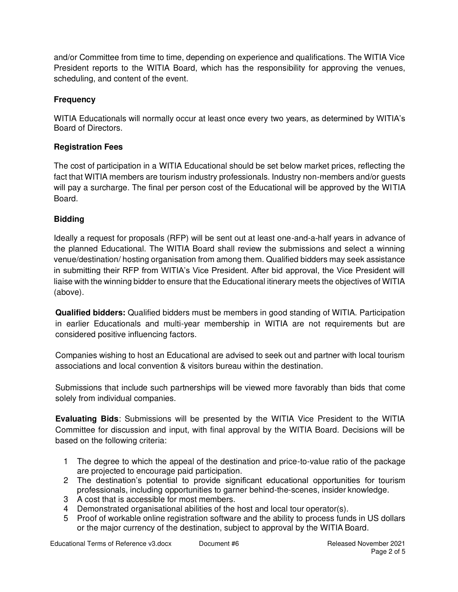and/or Committee from time to time, depending on experience and qualifications. The WITIA Vice President reports to the WITIA Board, which has the responsibility for approving the venues, scheduling, and content of the event.

## **Frequency**

WITIA Educationals will normally occur at least once every two years, as determined by WITIA's Board of Directors.

## **Registration Fees**

The cost of participation in a WITIA Educational should be set below market prices, reflecting the fact that WITIA members are tourism industry professionals. Industry non-members and/or guests will pay a surcharge. The final per person cost of the Educational will be approved by the WITIA Board.

## **Bidding**

Ideally a request for proposals (RFP) will be sent out at least one-and-a-half years in advance of the planned Educational. The WITIA Board shall review the submissions and select a winning venue/destination/ hosting organisation from among them. Qualified bidders may seek assistance in submitting their RFP from WITIA's Vice President. After bid approval, the Vice President will liaise with the winning bidder to ensure that the Educational itinerary meets the objectives of WITIA (above).

**Qualified bidders:** Qualified bidders must be members in good standing of WITIA. Participation in earlier Educationals and multi-year membership in WITIA are not requirements but are considered positive influencing factors.

Companies wishing to host an Educational are advised to seek out and partner with local tourism associations and local convention & visitors bureau within the destination.

Submissions that include such partnerships will be viewed more favorably than bids that come solely from individual companies.

**Evaluating Bids**: Submissions will be presented by the WITIA Vice President to the WITIA Committee for discussion and input, with final approval by the WITIA Board. Decisions will be based on the following criteria:

- 1 The degree to which the appeal of the destination and price-to-value ratio of the package are projected to encourage paid participation.
- 2 The destination's potential to provide significant educational opportunities for tourism professionals, including opportunities to garner behind-the-scenes, insider knowledge.
- 3 A cost that is accessible for most members.
- 4 Demonstrated organisational abilities of the host and local tour operator(s).
- 5 Proof of workable online registration software and the ability to process funds in US dollars or the major currency of the destination, subject to approval by the WITIA Board.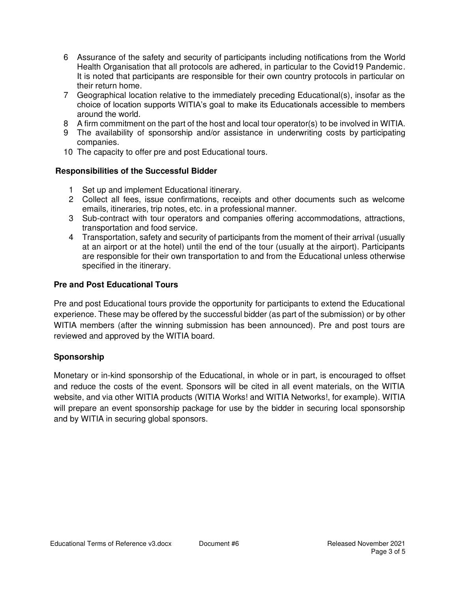- 6 Assurance of the safety and security of participants including notifications from the World Health Organisation that all protocols are adhered, in particular to the Covid19 Pandemic. It is noted that participants are responsible for their own country protocols in particular on their return home.
- 7 Geographical location relative to the immediately preceding Educational(s), insofar as the choice of location supports WITIA's goal to make its Educationals accessible to members around the world.
- 8 A firm commitment on the part of the host and local tour operator(s) to be involved in WITIA.
- 9 The availability of sponsorship and/or assistance in underwriting costs by participating companies.
- 10 The capacity to offer pre and post Educational tours.

### **Responsibilities of the Successful Bidder**

- 1 Set up and implement Educational itinerary.
- 2 Collect all fees, issue confirmations, receipts and other documents such as welcome emails, itineraries, trip notes, etc. in a professional manner.
- 3 Sub-contract with tour operators and companies offering accommodations, attractions, transportation and food service.
- 4 Transportation, safety and security of participants from the moment of their arrival (usually at an airport or at the hotel) until the end of the tour (usually at the airport). Participants are responsible for their own transportation to and from the Educational unless otherwise specified in the itinerary.

### **Pre and Post Educational Tours**

Pre and post Educational tours provide the opportunity for participants to extend the Educational experience. These may be offered by the successful bidder (as part of the submission) or by other WITIA members (after the winning submission has been announced). Pre and post tours are reviewed and approved by the WITIA board.

#### **Sponsorship**

Monetary or in-kind sponsorship of the Educational, in whole or in part, is encouraged to offset and reduce the costs of the event. Sponsors will be cited in all event materials, on the WITIA website, and via other WITIA products (WITIA Works! and WITIA Networks!, for example). WITIA will prepare an event sponsorship package for use by the bidder in securing local sponsorship and by WITIA in securing global sponsors.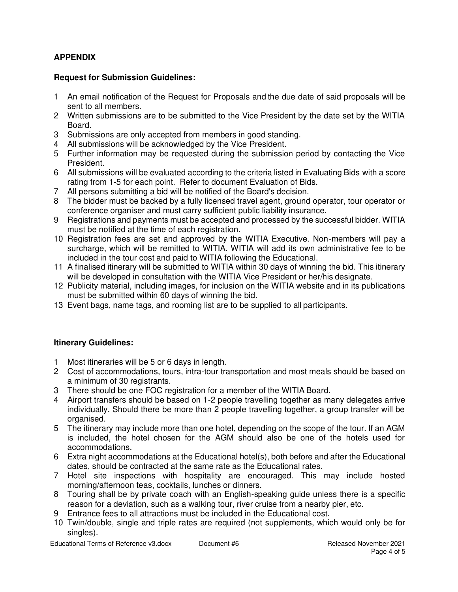## **APPENDIX**

#### **Request for Submission Guidelines:**

- 1 An email notification of the Request for Proposals and the due date of said proposals will be sent to all members.
- 2 Written submissions are to be submitted to the Vice President by the date set by the WITIA Board.
- 3 Submissions are only accepted from members in good standing.
- 4 All submissions will be acknowledged by the Vice President.
- 5 Further information may be requested during the submission period by contacting the Vice President.
- 6 All submissions will be evaluated according to the criteria listed in Evaluating Bids with a score rating from 1-5 for each point. Refer to document Evaluation of Bids.
- 7 All persons submitting a bid will be notified of the Board's decision.
- 8 The bidder must be backed by a fully licensed travel agent, ground operator, tour operator or conference organiser and must carry sufficient public liability insurance.
- 9 Registrations and payments must be accepted and processed by the successful bidder. WITIA must be notified at the time of each registration.
- 10 Registration fees are set and approved by the WITIA Executive. Non-members will pay a surcharge, which will be remitted to WITIA. WITIA will add its own administrative fee to be included in the tour cost and paid to WITIA following the Educational.
- 11 A finalised itinerary will be submitted to WITIA within 30 days of winning the bid. This itinerary will be developed in consultation with the WITIA Vice President or her/his designate.
- 12 Publicity material, including images, for inclusion on the WITIA website and in its publications must be submitted within 60 days of winning the bid.
- 13 Event bags, name tags, and rooming list are to be supplied to all participants.

## **Itinerary Guidelines:**

- 1 Most itineraries will be 5 or 6 days in length.
- 2 Cost of accommodations, tours, intra-tour transportation and most meals should be based on a minimum of 30 registrants.
- 3 There should be one FOC registration for a member of the WITIA Board.
- 4 Airport transfers should be based on 1-2 people travelling together as many delegates arrive individually. Should there be more than 2 people travelling together, a group transfer will be organised.
- 5 The itinerary may include more than one hotel, depending on the scope of the tour. If an AGM is included, the hotel chosen for the AGM should also be one of the hotels used for accommodations.
- 6 Extra night accommodations at the Educational hotel(s), both before and after the Educational dates, should be contracted at the same rate as the Educational rates.
- 7 Hotel site inspections with hospitality are encouraged. This may include hosted morning/afternoon teas, cocktails, lunches or dinners.
- 8 Touring shall be by private coach with an English-speaking guide unless there is a specific reason for a deviation, such as a walking tour, river cruise from a nearby pier, etc.
- 9 Entrance fees to all attractions must be included in the Educational cost.
- 10 Twin/double, single and triple rates are required (not supplements, which would only be for singles).